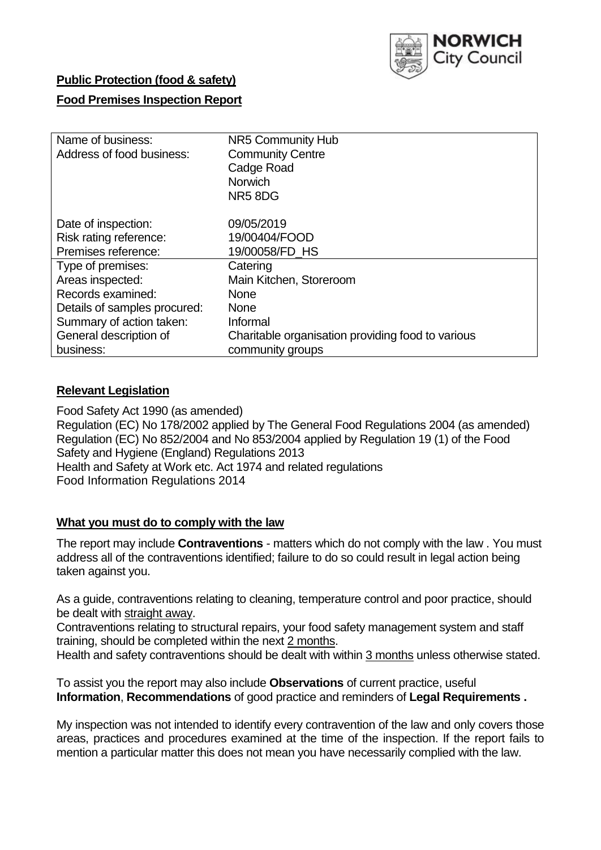

## **Public Protection (food & safety)**

## **Food Premises Inspection Report**

| Name of business:            | NR5 Community Hub                                 |
|------------------------------|---------------------------------------------------|
| Address of food business:    | <b>Community Centre</b>                           |
|                              | Cadge Road                                        |
|                              | Norwich                                           |
|                              | NR58DG                                            |
|                              |                                                   |
| Date of inspection:          | 09/05/2019                                        |
| Risk rating reference:       | 19/00404/FOOD                                     |
| Premises reference:          | 19/00058/FD HS                                    |
| Type of premises:            | Catering                                          |
| Areas inspected:             | Main Kitchen, Storeroom                           |
| Records examined:            | <b>None</b>                                       |
| Details of samples procured: | <b>None</b>                                       |
| Summary of action taken:     | Informal                                          |
| General description of       | Charitable organisation providing food to various |
| business:                    | community groups                                  |

## **Relevant Legislation**

Food Safety Act 1990 (as amended) Regulation (EC) No 178/2002 applied by The General Food Regulations 2004 (as amended) Regulation (EC) No 852/2004 and No 853/2004 applied by Regulation 19 (1) of the Food Safety and Hygiene (England) Regulations 2013 Health and Safety at Work etc. Act 1974 and related regulations Food Information Regulations 2014

## **What you must do to comply with the law**

The report may include **Contraventions** - matters which do not comply with the law . You must address all of the contraventions identified; failure to do so could result in legal action being taken against you.

As a guide, contraventions relating to cleaning, temperature control and poor practice, should be dealt with straight away.

Contraventions relating to structural repairs, your food safety management system and staff training, should be completed within the next 2 months.

Health and safety contraventions should be dealt with within 3 months unless otherwise stated.

To assist you the report may also include **Observations** of current practice, useful **Information**, **Recommendations** of good practice and reminders of **Legal Requirements .**

My inspection was not intended to identify every contravention of the law and only covers those areas, practices and procedures examined at the time of the inspection. If the report fails to mention a particular matter this does not mean you have necessarily complied with the law.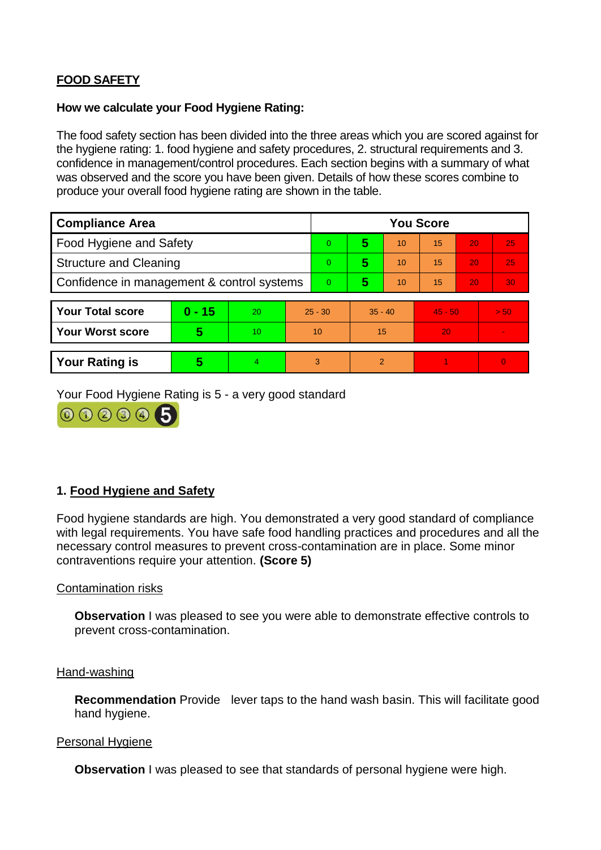# **FOOD SAFETY**

### **How we calculate your Food Hygiene Rating:**

The food safety section has been divided into the three areas which you are scored against for the hygiene rating: 1. food hygiene and safety procedures, 2. structural requirements and 3. confidence in management/control procedures. Each section begins with a summary of what was observed and the score you have been given. Details of how these scores combine to produce your overall food hygiene rating are shown in the table.

| <b>Compliance Area</b>                     |          |    |                | <b>You Score</b> |                |    |           |    |                |  |  |
|--------------------------------------------|----------|----|----------------|------------------|----------------|----|-----------|----|----------------|--|--|
| Food Hygiene and Safety                    |          |    |                | $\Omega$         | 5              | 10 | 15        | 20 | 25             |  |  |
| <b>Structure and Cleaning</b>              |          |    | $\overline{0}$ | 5                | 10             | 15 | 20        | 25 |                |  |  |
| Confidence in management & control systems |          |    | $\Omega$       | 5                | 10             | 15 | 20        | 30 |                |  |  |
|                                            |          |    |                |                  |                |    |           |    |                |  |  |
| <b>Your Total score</b>                    | $0 - 15$ | 20 | $25 - 30$      |                  | $35 - 40$      |    | $45 - 50$ |    | > 50           |  |  |
| <b>Your Worst score</b>                    | 5        | 10 | 10             |                  | 15             |    | 20        |    | $\blacksquare$ |  |  |
|                                            |          |    |                |                  |                |    |           |    |                |  |  |
| <b>Your Rating is</b>                      | 5        | 4  | 3              |                  | $\overline{2}$ |    |           |    | $\Omega$       |  |  |

Your Food Hygiene Rating is 5 - a very good standard



## **1. Food Hygiene and Safety**

Food hygiene standards are high. You demonstrated a very good standard of compliance with legal requirements. You have safe food handling practices and procedures and all the necessary control measures to prevent cross-contamination are in place. Some minor contraventions require your attention. **(Score 5)**

## Contamination risks

**Observation** I was pleased to see you were able to demonstrate effective controls to prevent cross-contamination.

#### Hand-washing

**Recommendation** Provide lever taps to the hand wash basin. This will facilitate good hand hygiene.

#### Personal Hygiene

**Observation** I was pleased to see that standards of personal hygiene were high.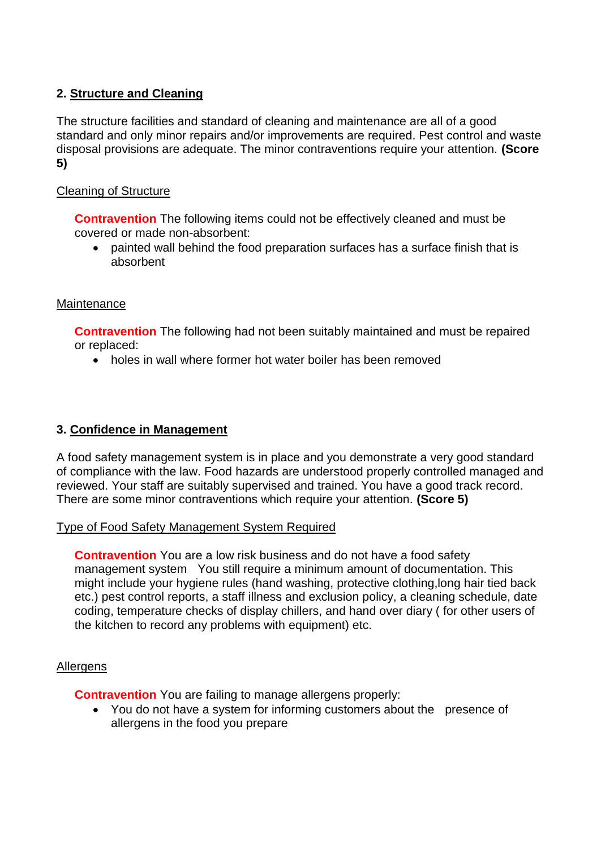# **2. Structure and Cleaning**

The structure facilities and standard of cleaning and maintenance are all of a good standard and only minor repairs and/or improvements are required. Pest control and waste disposal provisions are adequate. The minor contraventions require your attention. **(Score 5)**

## Cleaning of Structure

**Contravention** The following items could not be effectively cleaned and must be covered or made non-absorbent:

 painted wall behind the food preparation surfaces has a surface finish that is absorbent

## **Maintenance**

**Contravention** The following had not been suitably maintained and must be repaired or replaced:

• holes in wall where former hot water boiler has been removed

## **3. Confidence in Management**

A food safety management system is in place and you demonstrate a very good standard of compliance with the law. Food hazards are understood properly controlled managed and reviewed. Your staff are suitably supervised and trained. You have a good track record. There are some minor contraventions which require your attention. **(Score 5)**

## Type of Food Safety Management System Required

**Contravention** You are a low risk business and do not have a food safety management system You still require a minimum amount of documentation. This might include your hygiene rules (hand washing, protective clothing,long hair tied back etc.) pest control reports, a staff illness and exclusion policy, a cleaning schedule, date coding, temperature checks of display chillers, and hand over diary ( for other users of the kitchen to record any problems with equipment) etc.

## Allergens

**Contravention** You are failing to manage allergens properly:

• You do not have a system for informing customers about the presence of allergens in the food you prepare